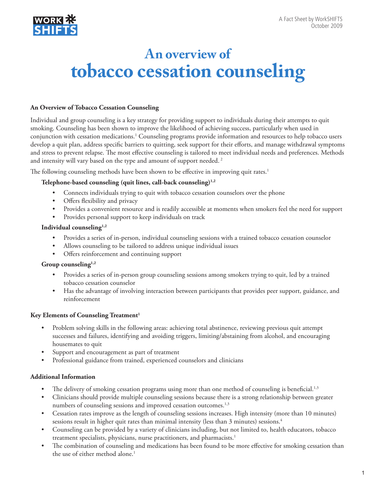

# **An overview of tobacco cessation counseling**

## **An Overview of Tobacco Cessation Counseling**

Individual and group counseling is a key strategy for providing support to individuals during their attempts to quit smoking. Counseling has been shown to improve the likelihood of achieving success, particularly when used in conjunction with cessation medications.<sup>1</sup> Counseling programs provide information and resources to help tobacco users develop a quit plan, address specific barriers to quitting, seek support for their efforts, and manage withdrawal symptoms and stress to prevent relapse. The most effective counseling is tailored to meet individual needs and preferences. Methods and intensity will vary based on the type and amount of support needed.<sup>2</sup>

The following counseling methods have been shown to be effective in improving quit rates.<sup>1</sup>

### **Telephone-based counseling (quit lines, call-back counseling)1,2**

- Connects individuals trying to quit with tobacco cessation counselors over the phone
- Offers flexibility and privacy
- Provides a convenient resource and is readily accessible at moments when smokers feel the need for support
- Provides personal support to keep individuals on track

#### **Individual counseling1,2**

- Provides a series of in-person, individual counseling sessions with a trained tobacco cessation counselor
- Allows counseling to be tailored to address unique individual issues
- Offers reinforcement and continuing support

#### **Group counseling1,2**

- Provides a series of in-person group counseling sessions among smokers trying to quit, led by a trained tobacco cessation counselor
- Has the advantage of involving interaction between participants that provides peer support, guidance, and reinforcement

# Key Elements of Counseling Treatment<sup>1</sup>

- Problem solving skills in the following areas: achieving total abstinence, reviewing previous quit attempt successes and failures, identifying and avoiding triggers, limiting/abstaining from alcohol, and encouraging housemates to quit
- Support and encouragement as part of treatment
- Professional guidance from trained, experienced counselors and clinicians

# **Additional Information**

- The delivery of smoking cessation programs using more than one method of counseling is beneficial.<sup>1,3</sup>
- Clinicians should provide multiple counseling sessions because there is a strong relationship between greater numbers of counseling sessions and improved cessation outcomes.<sup>1,3</sup>
- Cessation rates improve as the length of counseling sessions increases. High intensity (more than 10 minutes) sessions result in higher quit rates than minimal intensity (less than 3 minutes) sessions.4
- Counseling can be provided by a variety of clinicians including, but not limited to, health educators, tobacco treatment specialists, physicians, nurse practitioners, and pharmacists.<sup>1</sup>
- The combination of counseling and medications has been found to be more effective for smoking cessation than the use of either method alone.<sup>1</sup>